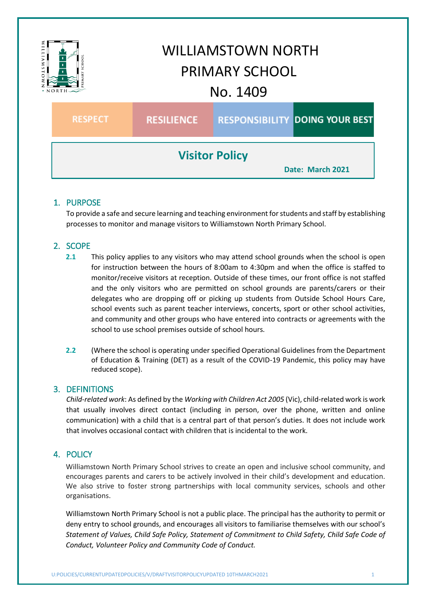

# 1. PURPOSE

To provide a safe and secure learning and teaching environment for students and staff by establishing processes to monitor and manage visitors to Williamstown North Primary School.

# 2. SCOPE

- **2.1** This policy applies to any visitors who may attend school grounds when the school is open for instruction between the hours of 8:00am to 4:30pm and when the office is staffed to monitor/receive visitors at reception. Outside of these times, our front office is not staffed and the only visitors who are permitted on school grounds are parents/carers or their delegates who are dropping off or picking up students from Outside School Hours Care, school events such as parent teacher interviews, concerts, sport or other school activities, and community and other groups who have entered into contracts or agreements with the school to use school premises outside of school hours.
- **2.2** (Where the school is operating under specified Operational Guidelines from the Department of Education & Training (DET) as a result of the COVID-19 Pandemic, this policy may have reduced scope).

# 3. DEFINITIONS

*Child-related work*: As defined by the *Working with Children Act 2005* (Vic), child-related work is work that usually involves direct contact (including in person, over the phone, written and online communication) with a child that is a central part of that person's duties. It does not include work that involves occasional contact with children that is incidental to the work.

# 4. POLICY

Williamstown North Primary School strives to create an open and inclusive school community, and encourages parents and carers to be actively involved in their child's development and education. We also strive to foster strong partnerships with local community services, schools and other organisations.

Williamstown North Primary School is not a public place. The principal has the authority to permit or deny entry to school grounds, and encourages all visitors to familiarise themselves with our school's *Statement of Values, Child Safe Policy, Statement of Commitment to Child Safety, Child Safe Code of Conduct, Volunteer Policy and Community Code of Conduct.*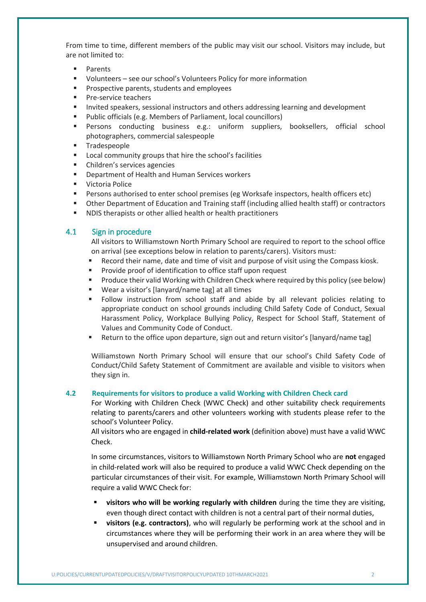From time to time, different members of the public may visit our school. Visitors may include, but are not limited to:

- Parents
- Volunteers see our school's Volunteers Policy for more information
- **Prospective parents, students and employees**
- **Pre-service teachers**
- **Invited speakers, sessional instructors and others addressing learning and development**
- Public officials (e.g. Members of Parliament, local councillors)
- Persons conducting business e.g.: uniform suppliers, booksellers, official school photographers, commercial salespeople
- **Tradespeople**
- **EXEDENT** Local community groups that hire the school's facilities
- Children's services agencies
- **Department of Health and Human Services workers**
- **ULA Victoria Police**
- Persons authorised to enter school premises (eg Worksafe inspectors, health officers etc)
- Other Department of Education and Training staff (including allied health staff) or contractors
- NDIS therapists or other allied health or health practitioners

### 4.1 Sign in procedure

All visitors to Williamstown North Primary School are required to report to the school office on arrival (see exceptions below in relation to parents/carers). Visitors must:

- Record their name, date and time of visit and purpose of visit using the Compass kiosk.
- Provide proof of identification to office staff upon request
- **Produce their valid Working with Children Check where required by this policy (see below)**
- Wear a visitor's [lanyard/name tag] at all times
- Follow instruction from school staff and abide by all relevant policies relating to appropriate conduct on school grounds including Child Safety Code of Conduct, Sexual Harassment Policy, Workplace Bullying Policy, Respect for School Staff, Statement of Values and Community Code of Conduct.
- Return to the office upon departure, sign out and return visitor's [lanyard/name tag]

Williamstown North Primary School will ensure that our school's Child Safety Code of Conduct/Child Safety Statement of Commitment are available and visible to visitors when they sign in.

#### **4.2 Requirements for visitors to produce a valid Working with Children Check card**

For Working with Children Check (WWC Check) and other suitability check requirements relating to parents/carers and other volunteers working with students please refer to the school's Volunteer Policy.

All visitors who are engaged in **child-related work** (definition above) must have a valid WWC Check.

In some circumstances, visitors to Williamstown North Primary School who are **not** engaged in child-related work will also be required to produce a valid WWC Check depending on the particular circumstances of their visit. For example, Williamstown North Primary School will require a valid WWC Check for:

- **visitors who will be working regularly with children** during the time they are visiting, even though direct contact with children is not a central part of their normal duties,
- **visitors (e.g. contractors)**, who will regularly be performing work at the school and in circumstances where they will be performing their work in an area where they will be unsupervised and around children.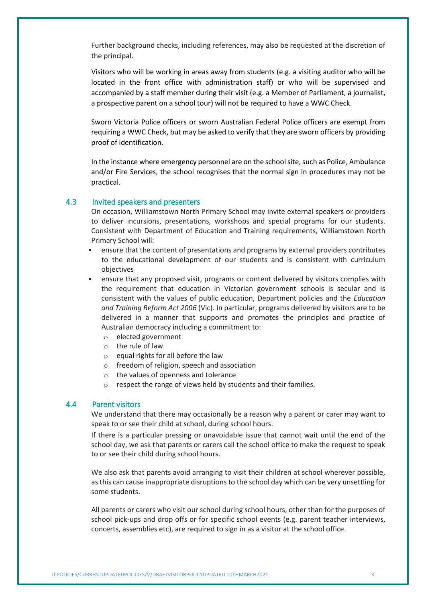Further background checks, including references, may also be requested at the discretion of the principal.

Visitors who will be working in areas away from students (e.g. a visiting auditor who will be located in the front office with administration staff) or who will be supervised and accompanied by a staff member during their visit (e.g. a Member of Parliament, a journalist, a prospective parent on a school tour) will not be required to have a WWC Check.

Sworn Victoria Police officers or sworn Australian Federal Police officers are exempt from requiring a WWC Check, but may be asked to verify that they are sworn officers by providing proof of identification.

In the instance where emergency personnel are on the school site, such as Police, Ambulance and/or Fire Services, the school recognises that the normal sign in procedures may not be practical.

### 4.3 Invited speakers and presenters

On occasion, Williamstown North Primary School may invite external speakers or providers to deliver incursions, presentations, workshops and special programs for our students. Consistent with Department of Education and Training requirements, Williamstown North Primary School will:

- ensure that the content of presentations and programs by external providers contributes to the educational development of our students and is consistent with curriculum objectives
- ensure that any proposed visit, programs or content delivered by visitors complies with the requirement that education in Victorian government schools is secular and is consistent with the values of public education, Department policies and the *Education and Training Reform Act 2006* (Vic). In particular, programs delivered by visitors are to be delivered in a manner that supports and promotes the principles and practice of Australian democracy including a commitment to:
	- o elected government
	- o the rule of law
	- o equal rights for all before the law
	- o freedom of religion, speech and association
	- o the values of openness and tolerance
	- respect the range of views held by students and their families.

### 4.4 Parent visitors

We understand that there may occasionally be a reason why a parent or carer may want to speak to or see their child at school, during school hours.

If there is a particular pressing or unavoidable issue that cannot wait until the end of the school day, we ask that parents or carers call the school office to make the request to speak to or see their child during school hours.

We also ask that parents avoid arranging to visit their children at school wherever possible, as this can cause inappropriate disruptions to the school day which can be very unsettling for some students.

All parents or carers who visit our school during school hours, other than for the purposes of school pick-ups and drop offs or for specific school events (e.g. parent teacher interviews, concerts, assemblies etc), are required to sign in as a visitor at the school office.